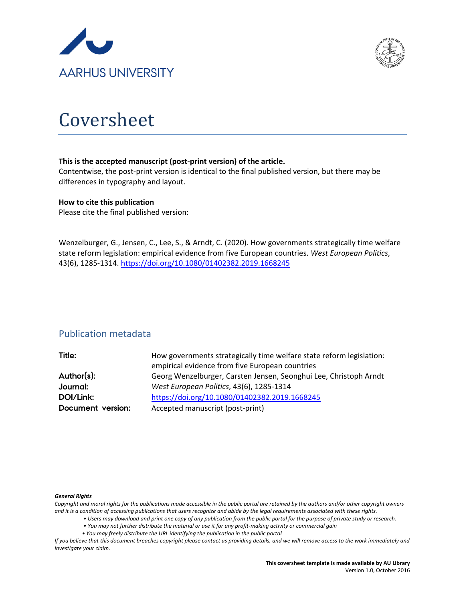



# Coversheet

# **This is the accepted manuscript (post-print version) of the article.**

Contentwise, the post-print version is identical to the final published version, but there may be differences in typography and layout.

# **How to cite this publication**

Please cite the final published version:

Wenzelburger, G., Jensen, C., Lee, S., & Arndt, C. (2020). How governments strategically time welfare state reform legislation: empirical evidence from five European countries. *West European Politics*, 43(6), 1285-1314.<https://doi.org/10.1080/01402382.2019.1668245>

# Publication metadata

| Title:            | How governments strategically time welfare state reform legislation: |
|-------------------|----------------------------------------------------------------------|
|                   | empirical evidence from five European countries                      |
| Author(s):        | Georg Wenzelburger, Carsten Jensen, Seonghui Lee, Christoph Arndt    |
| Journal:          | West European Politics, 43(6), 1285-1314                             |
| DOI/Link:         | https://doi.org/10.1080/01402382.2019.1668245                        |
| Document version: | Accepted manuscript (post-print)                                     |

#### *General Rights*

*Copyright and moral rights for the publications made accessible in the public portal are retained by the authors and/or other copyright owners and it is a condition of accessing publications that users recognize and abide by the legal requirements associated with these rights.*

- *Users may download and print one copy of any publication from the public portal for the purpose of private study or research.*
- *You may not further distribute the material or use it for any profit-making activity or commercial gain*
- *You may freely distribute the URL identifying the publication in the public portal*

*If you believe that this document breaches copyright please contact us providing details, and we will remove access to the work immediately and investigate your claim.*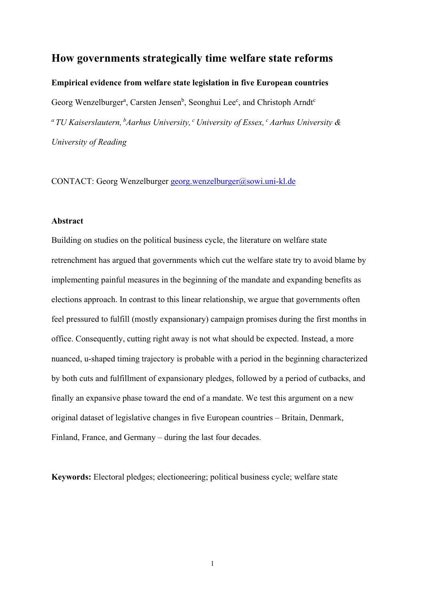# **How governments strategically time welfare state reforms**

**Empirical evidence from welfare state legislation in five European countries**

Georg Wenzelburger<sup>a</sup>, Carsten Jensen<sup>b</sup>, Seonghui Lee<sup>c</sup>, and Christoph Arndt<sup>e</sup> *a TU Kaiserslautern, bAarhus University, c University of Essex, c Aarhus University & University of Reading*

CONTACT: Georg Wenzelburger [georg.wenzelburger@sowi.uni-kl.de](mailto:georg.wenzelburger@sowi.uni-kl.de)

# **Abstract**

Building on studies on the political business cycle, the literature on welfare state retrenchment has argued that governments which cut the welfare state try to avoid blame by implementing painful measures in the beginning of the mandate and expanding benefits as elections approach. In contrast to this linear relationship, we argue that governments often feel pressured to fulfill (mostly expansionary) campaign promises during the first months in office. Consequently, cutting right away is not what should be expected. Instead, a more nuanced, u-shaped timing trajectory is probable with a period in the beginning characterized by both cuts and fulfillment of expansionary pledges, followed by a period of cutbacks, and finally an expansive phase toward the end of a mandate. We test this argument on a new original dataset of legislative changes in five European countries – Britain, Denmark, Finland, France, and Germany – during the last four decades.

**Keywords:** Electoral pledges; electioneering; political business cycle; welfare state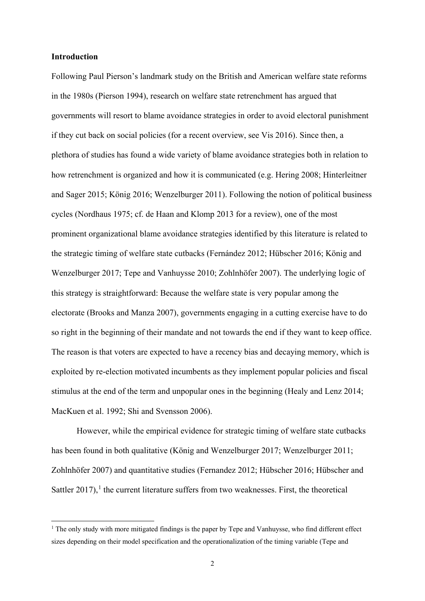#### **Introduction**

<u>.</u>

Following Paul Pierson's landmark study on the British and American welfare state reforms in the 1980s (Pierson 1994), research on welfare state retrenchment has argued that governments will resort to blame avoidance strategies in order to avoid electoral punishment if they cut back on social policies (for a recent overview, see Vis 2016). Since then, a plethora of studies has found a wide variety of blame avoidance strategies both in relation to how retrenchment is organized and how it is communicated (e.g. Hering 2008; Hinterleitner and Sager 2015; König 2016; Wenzelburger 2011). Following the notion of political business cycles (Nordhaus 1975; cf. de Haan and Klomp 2013 for a review), one of the most prominent organizational blame avoidance strategies identified by this literature is related to the strategic timing of welfare state cutbacks (Fernández 2012; Hübscher 2016; König and Wenzelburger 2017; Tepe and Vanhuysse 2010; Zohlnhöfer 2007). The underlying logic of this strategy is straightforward: Because the welfare state is very popular among the electorate (Brooks and Manza 2007), governments engaging in a cutting exercise have to do so right in the beginning of their mandate and not towards the end if they want to keep office. The reason is that voters are expected to have a recency bias and decaying memory, which is exploited by re-election motivated incumbents as they implement popular policies and fiscal stimulus at the end of the term and unpopular ones in the beginning (Healy and Lenz 2014; MacKuen et al. 1992; Shi and Svensson 2006).

However, while the empirical evidence for strategic timing of welfare state cutbacks has been found in both qualitative (König and Wenzelburger 2017; Wenzelburger 2011; Zohlnhöfer 2007) and quantitative studies (Fernandez 2012; Hübscher 2016; Hübscher and Sattler  $2017$  $2017$  $2017$ ,<sup>1</sup> the current literature suffers from two weaknesses. First, the theoretical

<span id="page-2-0"></span> $1$  The only study with more mitigated findings is the paper by Tepe and Vanhuysse, who find different effect sizes depending on their model specification and the operationalization of the timing variable (Tepe and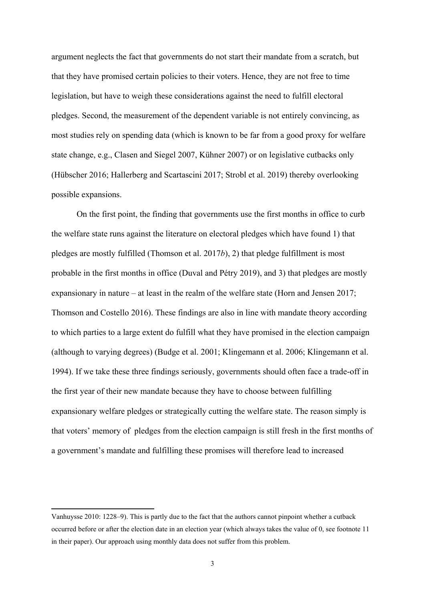argument neglects the fact that governments do not start their mandate from a scratch, but that they have promised certain policies to their voters. Hence, they are not free to time legislation, but have to weigh these considerations against the need to fulfill electoral pledges. Second, the measurement of the dependent variable is not entirely convincing, as most studies rely on spending data (which is known to be far from a good proxy for welfare state change, e.g., Clasen and Siegel 2007, Kühner 2007) or on legislative cutbacks only (Hübscher 2016; Hallerberg and Scartascini 2017; Strobl et al. 2019) thereby overlooking possible expansions.

On the first point, the finding that governments use the first months in office to curb the welfare state runs against the literature on electoral pledges which have found 1) that pledges are mostly fulfilled (Thomson et al. 2017*b*), 2) that pledge fulfillment is most probable in the first months in office (Duval and Pétry 2019), and 3) that pledges are mostly expansionary in nature – at least in the realm of the welfare state (Horn and Jensen 2017; Thomson and Costello 2016). These findings are also in line with mandate theory according to which parties to a large extent do fulfill what they have promised in the election campaign (although to varying degrees) (Budge et al. 2001; Klingemann et al. 2006; Klingemann et al. 1994). If we take these three findings seriously, governments should often face a trade-off in the first year of their new mandate because they have to choose between fulfilling expansionary welfare pledges or strategically cutting the welfare state. The reason simply is that voters' memory of pledges from the election campaign is still fresh in the first months of a government's mandate and fulfilling these promises will therefore lead to increased

<u>.</u>

Vanhuysse 2010: 1228–9). This is partly due to the fact that the authors cannot pinpoint whether a cutback occurred before or after the election date in an election year (which always takes the value of 0, see footnote 11 in their paper). Our approach using monthly data does not suffer from this problem.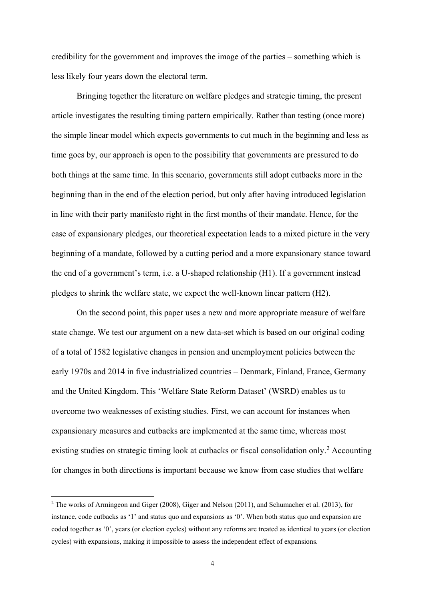credibility for the government and improves the image of the parties – something which is less likely four years down the electoral term.

Bringing together the literature on welfare pledges and strategic timing, the present article investigates the resulting timing pattern empirically. Rather than testing (once more) the simple linear model which expects governments to cut much in the beginning and less as time goes by, our approach is open to the possibility that governments are pressured to do both things at the same time. In this scenario, governments still adopt cutbacks more in the beginning than in the end of the election period, but only after having introduced legislation in line with their party manifesto right in the first months of their mandate. Hence, for the case of expansionary pledges, our theoretical expectation leads to a mixed picture in the very beginning of a mandate, followed by a cutting period and a more expansionary stance toward the end of a government's term, i.e. a U-shaped relationship (H1). If a government instead pledges to shrink the welfare state, we expect the well-known linear pattern (H2).

On the second point, this paper uses a new and more appropriate measure of welfare state change. We test our argument on a new data-set which is based on our original coding of a total of 1582 legislative changes in pension and unemployment policies between the early 1970s and 2014 in five industrialized countries – Denmark, Finland, France, Germany and the United Kingdom. This 'Welfare State Reform Dataset' (WSRD) enables us to overcome two weaknesses of existing studies. First, we can account for instances when expansionary measures and cutbacks are implemented at the same time, whereas most existing studies on strategic timing look at cutbacks or fiscal consolidation only.<sup>[2](#page-4-0)</sup> Accounting for changes in both directions is important because we know from case studies that welfare

<u>.</u>

<span id="page-4-0"></span><sup>2</sup> The works of Armingeon and Giger (2008), Giger and Nelson (2011), and Schumacher et al. (2013), for instance, code cutbacks as '1' and status quo and expansions as '0'. When both status quo and expansion are coded together as '0', years (or election cycles) without any reforms are treated as identical to years (or election cycles) with expansions, making it impossible to assess the independent effect of expansions.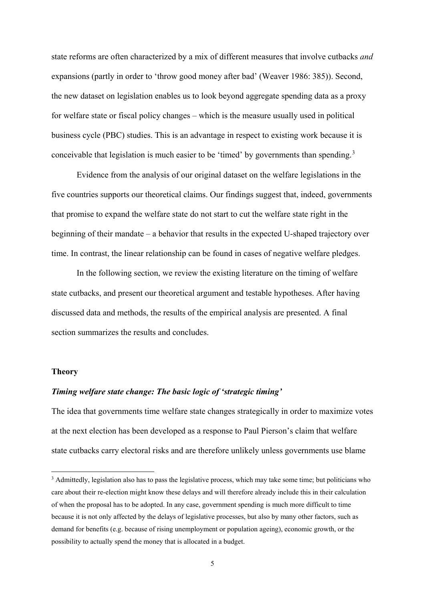state reforms are often characterized by a mix of different measures that involve cutbacks *and* expansions (partly in order to 'throw good money after bad' (Weaver 1986: 385)). Second, the new dataset on legislation enables us to look beyond aggregate spending data as a proxy for welfare state or fiscal policy changes – which is the measure usually used in political business cycle (PBC) studies. This is an advantage in respect to existing work because it is conceivable that legislation is much easier to be 'timed' by governments than spending.<sup>[3](#page-5-0)</sup>

Evidence from the analysis of our original dataset on the welfare legislations in the five countries supports our theoretical claims. Our findings suggest that, indeed, governments that promise to expand the welfare state do not start to cut the welfare state right in the beginning of their mandate – a behavior that results in the expected U-shaped trajectory over time. In contrast, the linear relationship can be found in cases of negative welfare pledges.

In the following section, we review the existing literature on the timing of welfare state cutbacks, and present our theoretical argument and testable hypotheses. After having discussed data and methods, the results of the empirical analysis are presented. A final section summarizes the results and concludes.

#### **Theory**

<u>.</u>

# *Timing welfare state change: The basic logic of 'strategic timing'*

The idea that governments time welfare state changes strategically in order to maximize votes at the next election has been developed as a response to Paul Pierson's claim that welfare state cutbacks carry electoral risks and are therefore unlikely unless governments use blame

<span id="page-5-0"></span><sup>&</sup>lt;sup>3</sup> Admittedly, legislation also has to pass the legislative process, which may take some time; but politicians who care about their re-election might know these delays and will therefore already include this in their calculation of when the proposal has to be adopted. In any case, government spending is much more difficult to time because it is not only affected by the delays of legislative processes, but also by many other factors, such as demand for benefits (e.g. because of rising unemployment or population ageing), economic growth, or the possibility to actually spend the money that is allocated in a budget.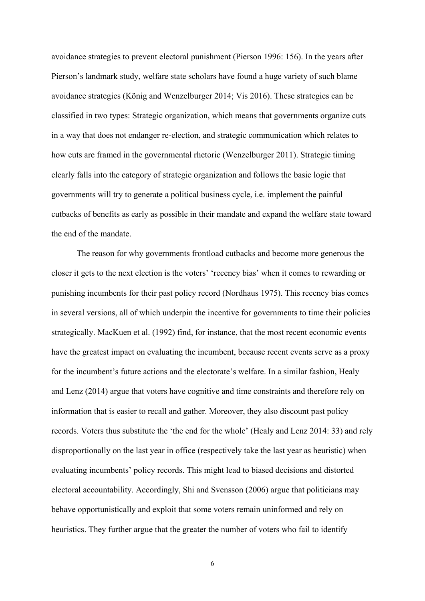avoidance strategies to prevent electoral punishment (Pierson 1996: 156). In the years after Pierson's landmark study, welfare state scholars have found a huge variety of such blame avoidance strategies (König and Wenzelburger 2014; Vis 2016). These strategies can be classified in two types: Strategic organization, which means that governments organize cuts in a way that does not endanger re-election, and strategic communication which relates to how cuts are framed in the governmental rhetoric (Wenzelburger 2011). Strategic timing clearly falls into the category of strategic organization and follows the basic logic that governments will try to generate a political business cycle, i.e. implement the painful cutbacks of benefits as early as possible in their mandate and expand the welfare state toward the end of the mandate.

The reason for why governments frontload cutbacks and become more generous the closer it gets to the next election is the voters' 'recency bias' when it comes to rewarding or punishing incumbents for their past policy record (Nordhaus 1975). This recency bias comes in several versions, all of which underpin the incentive for governments to time their policies strategically. MacKuen et al. (1992) find, for instance, that the most recent economic events have the greatest impact on evaluating the incumbent, because recent events serve as a proxy for the incumbent's future actions and the electorate's welfare. In a similar fashion, Healy and Lenz (2014) argue that voters have cognitive and time constraints and therefore rely on information that is easier to recall and gather. Moreover, they also discount past policy records. Voters thus substitute the 'the end for the whole' (Healy and Lenz 2014: 33) and rely disproportionally on the last year in office (respectively take the last year as heuristic) when evaluating incumbents' policy records. This might lead to biased decisions and distorted electoral accountability. Accordingly, Shi and Svensson (2006) argue that politicians may behave opportunistically and exploit that some voters remain uninformed and rely on heuristics. They further argue that the greater the number of voters who fail to identify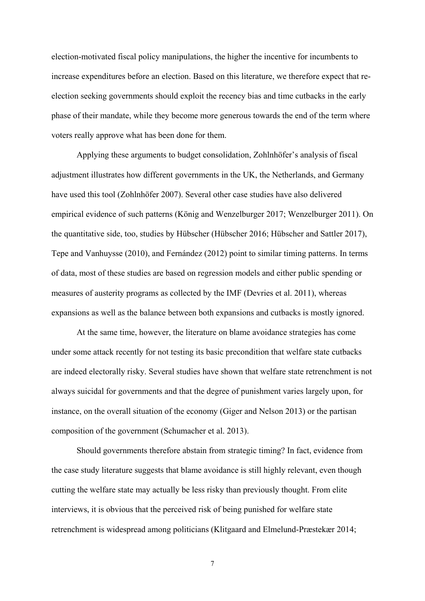election-motivated fiscal policy manipulations, the higher the incentive for incumbents to increase expenditures before an election. Based on this literature, we therefore expect that reelection seeking governments should exploit the recency bias and time cutbacks in the early phase of their mandate, while they become more generous towards the end of the term where voters really approve what has been done for them.

Applying these arguments to budget consolidation, Zohlnhöfer's analysis of fiscal adjustment illustrates how different governments in the UK, the Netherlands, and Germany have used this tool (Zohlnhöfer 2007). Several other case studies have also delivered empirical evidence of such patterns (König and Wenzelburger 2017; Wenzelburger 2011). On the quantitative side, too, studies by Hübscher (Hübscher 2016; Hübscher and Sattler 2017), Tepe and Vanhuysse (2010), and Fernández (2012) point to similar timing patterns. In terms of data, most of these studies are based on regression models and either public spending or measures of austerity programs as collected by the IMF (Devries et al. 2011), whereas expansions as well as the balance between both expansions and cutbacks is mostly ignored.

At the same time, however, the literature on blame avoidance strategies has come under some attack recently for not testing its basic precondition that welfare state cutbacks are indeed electorally risky. Several studies have shown that welfare state retrenchment is not always suicidal for governments and that the degree of punishment varies largely upon, for instance, on the overall situation of the economy (Giger and Nelson 2013) or the partisan composition of the government (Schumacher et al. 2013).

Should governments therefore abstain from strategic timing? In fact, evidence from the case study literature suggests that blame avoidance is still highly relevant, even though cutting the welfare state may actually be less risky than previously thought. From elite interviews, it is obvious that the perceived risk of being punished for welfare state retrenchment is widespread among politicians (Klitgaard and Elmelund-Præstekær 2014;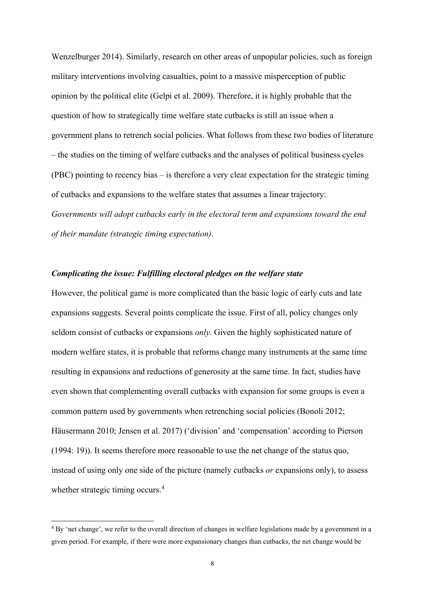Wenzelburger 2014). Similarly, research on other areas of unpopular policies, such as foreign military interventions involving casualties, point to a massive misperception of public opinion by the political elite (Gelpi et al. 2009). Therefore, it is highly probable that the question of how to strategically time welfare state cutbacks is still an issue when a government plans to retrench social policies. What follows from these two bodies of literature – the studies on the timing of welfare cutbacks and the analyses of political business cycles (PBC) pointing to recency bias – is therefore a very clear expectation for the strategic timing of cutbacks and expansions to the welfare states that assumes a linear trajectory: *Governments will adopt cutbacks early in the electoral term and expansions toward the end of their mandate (strategic timing expectation)*.

# *Complicating the issue: Fulfilling electoral pledges on the welfare state*

However, the political game is more complicated than the basic logic of early cuts and late expansions suggests. Several points complicate the issue. First of all, policy changes only seldom consist of cutbacks or expansions *only*. Given the highly sophisticated nature of modern welfare states, it is probable that reforms change many instruments at the same time resulting in expansions and reductions of generosity at the same time. In fact, studies have even shown that complementing overall cutbacks with expansion for some groups is even a common pattern used by governments when retrenching social policies (Bonoli 2012; Häusermann 2010; Jensen et al. 2017) ('division' and 'compensation' according to Pierson (1994: 19)). It seems therefore more reasonable to use the net change of the status quo, instead of using only one side of the picture (namely cutbacks *or* expansions only), to assess whether strategic timing occurs.<sup>[4](#page-8-0)</sup>

<u>.</u>

<span id="page-8-0"></span><sup>&</sup>lt;sup>4</sup> By 'net change', we refer to the overall direction of changes in welfare legislations made by a government in a given period. For example, if there were more expansionary changes than cutbacks, the net change would be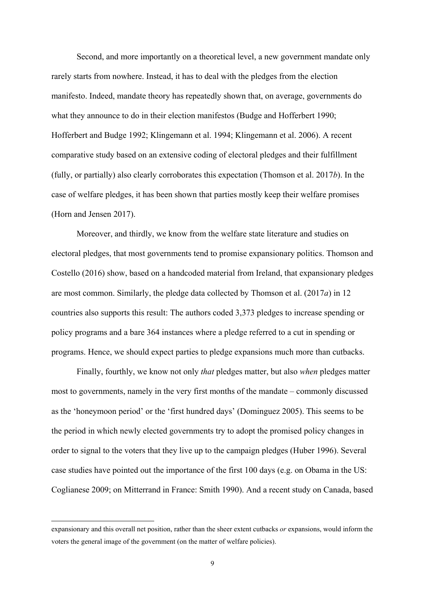Second, and more importantly on a theoretical level, a new government mandate only rarely starts from nowhere. Instead, it has to deal with the pledges from the election manifesto. Indeed, mandate theory has repeatedly shown that, on average, governments do what they announce to do in their election manifestos (Budge and Hofferbert 1990; Hofferbert and Budge 1992; Klingemann et al. 1994; Klingemann et al. 2006). A recent comparative study based on an extensive coding of electoral pledges and their fulfillment (fully, or partially) also clearly corroborates this expectation (Thomson et al. 2017*b*). In the case of welfare pledges, it has been shown that parties mostly keep their welfare promises (Horn and Jensen 2017).

Moreover, and thirdly, we know from the welfare state literature and studies on electoral pledges, that most governments tend to promise expansionary politics. Thomson and Costello (2016) show, based on a handcoded material from Ireland, that expansionary pledges are most common. Similarly, the pledge data collected by Thomson et al. (2017*a*) in 12 countries also supports this result: The authors coded 3,373 pledges to increase spending or policy programs and a bare 364 instances where a pledge referred to a cut in spending or programs. Hence, we should expect parties to pledge expansions much more than cutbacks.

Finally, fourthly, we know not only *that* pledges matter, but also *when* pledges matter most to governments, namely in the very first months of the mandate – commonly discussed as the 'honeymoon period' or the 'first hundred days' (Dominguez 2005). This seems to be the period in which newly elected governments try to adopt the promised policy changes in order to signal to the voters that they live up to the campaign pledges (Huber 1996). Several case studies have pointed out the importance of the first 100 days (e.g. on Obama in the US: Coglianese 2009; on Mitterrand in France: Smith 1990). And a recent study on Canada, based

<u>.</u>

expansionary and this overall net position, rather than the sheer extent cutbacks *or* expansions, would inform the voters the general image of the government (on the matter of welfare policies).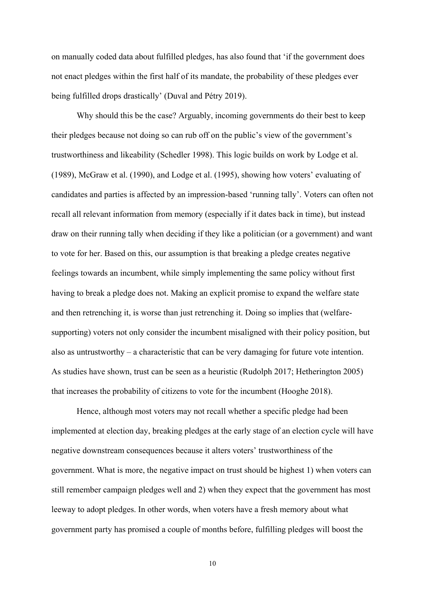on manually coded data about fulfilled pledges, has also found that 'if the government does not enact pledges within the first half of its mandate, the probability of these pledges ever being fulfilled drops drastically' (Duval and Pétry 2019).

Why should this be the case? Arguably, incoming governments do their best to keep their pledges because not doing so can rub off on the public's view of the government's trustworthiness and likeability (Schedler 1998). This logic builds on work by Lodge et al. (1989), McGraw et al. (1990), and Lodge et al. (1995), showing how voters' evaluating of candidates and parties is affected by an impression-based 'running tally'. Voters can often not recall all relevant information from memory (especially if it dates back in time), but instead draw on their running tally when deciding if they like a politician (or a government) and want to vote for her. Based on this, our assumption is that breaking a pledge creates negative feelings towards an incumbent, while simply implementing the same policy without first having to break a pledge does not. Making an explicit promise to expand the welfare state and then retrenching it, is worse than just retrenching it. Doing so implies that (welfaresupporting) voters not only consider the incumbent misaligned with their policy position, but also as untrustworthy – a characteristic that can be very damaging for future vote intention. As studies have shown, trust can be seen as a heuristic (Rudolph 2017; Hetherington 2005) that increases the probability of citizens to vote for the incumbent (Hooghe 2018).

Hence, although most voters may not recall whether a specific pledge had been implemented at election day, breaking pledges at the early stage of an election cycle will have negative downstream consequences because it alters voters' trustworthiness of the government. What is more, the negative impact on trust should be highest 1) when voters can still remember campaign pledges well and 2) when they expect that the government has most leeway to adopt pledges. In other words, when voters have a fresh memory about what government party has promised a couple of months before, fulfilling pledges will boost the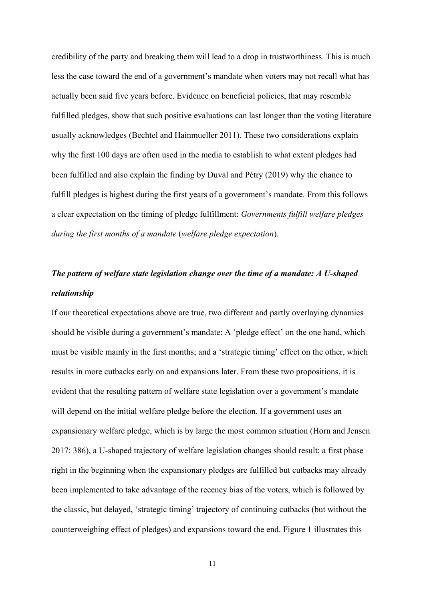credibility of the party and breaking them will lead to a drop in trustworthiness. This is much less the case toward the end of a government's mandate when voters may not recall what has actually been said five years before. Evidence on beneficial policies, that may resemble fulfilled pledges, show that such positive evaluations can last longer than the voting literature usually acknowledges (Bechtel and Hainmueller 2011). These two considerations explain why the first 100 days are often used in the media to establish to what extent pledges had been fulfilled and also explain the finding by Duval and Pétry (2019) why the chance to fulfill pledges is highest during the first years of a government's mandate. From this follows a clear expectation on the timing of pledge fulfillment: *Governments fulfill welfare pledges during the first months of a mandate* (*welfare pledge expectation*).

# *The pattern of welfare state legislation change over the time of a mandate: A U-shaped relationship*

If our theoretical expectations above are true, two different and partly overlaying dynamics should be visible during a government's mandate: A 'pledge effect' on the one hand, which must be visible mainly in the first months; and a 'strategic timing' effect on the other, which results in more cutbacks early on and expansions later. From these two propositions, it is evident that the resulting pattern of welfare state legislation over a government's mandate will depend on the initial welfare pledge before the election. If a government uses an expansionary welfare pledge, which is by large the most common situation (Horn and Jensen 2017: 386), a U-shaped trajectory of welfare legislation changes should result: a first phase right in the beginning when the expansionary pledges are fulfilled but cutbacks may already been implemented to take advantage of the recency bias of the voters, which is followed by the classic, but delayed, 'strategic timing' trajectory of continuing cutbacks (but without the counterweighing effect of pledges) and expansions toward the end. Figure 1 illustrates this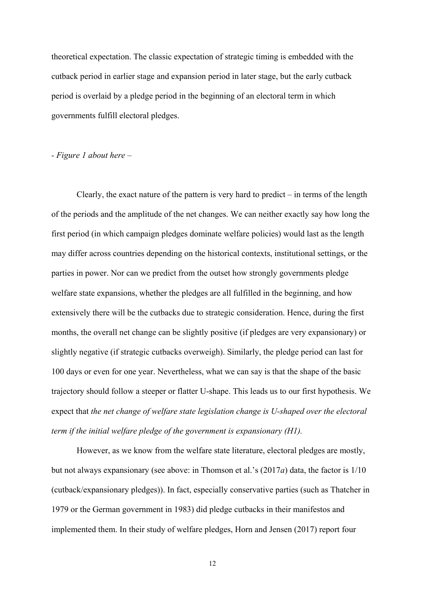theoretical expectation. The classic expectation of strategic timing is embedded with the cutback period in earlier stage and expansion period in later stage, but the early cutback period is overlaid by a pledge period in the beginning of an electoral term in which governments fulfill electoral pledges.

# *- Figure 1 about here –*

Clearly, the exact nature of the pattern is very hard to predict – in terms of the length of the periods and the amplitude of the net changes. We can neither exactly say how long the first period (in which campaign pledges dominate welfare policies) would last as the length may differ across countries depending on the historical contexts, institutional settings, or the parties in power. Nor can we predict from the outset how strongly governments pledge welfare state expansions, whether the pledges are all fulfilled in the beginning, and how extensively there will be the cutbacks due to strategic consideration. Hence, during the first months, the overall net change can be slightly positive (if pledges are very expansionary) or slightly negative (if strategic cutbacks overweigh). Similarly, the pledge period can last for 100 days or even for one year. Nevertheless, what we can say is that the shape of the basic trajectory should follow a steeper or flatter U-shape. This leads us to our first hypothesis. We expect that *the net change of welfare state legislation change is U-shaped over the electoral term if the initial welfare pledge of the government is expansionary (H1).*

However, as we know from the welfare state literature, electoral pledges are mostly, but not always expansionary (see above: in Thomson et al.'s (2017*a*) data, the factor is 1/10 (cutback/expansionary pledges)). In fact, especially conservative parties (such as Thatcher in 1979 or the German government in 1983) did pledge cutbacks in their manifestos and implemented them. In their study of welfare pledges, Horn and Jensen (2017) report four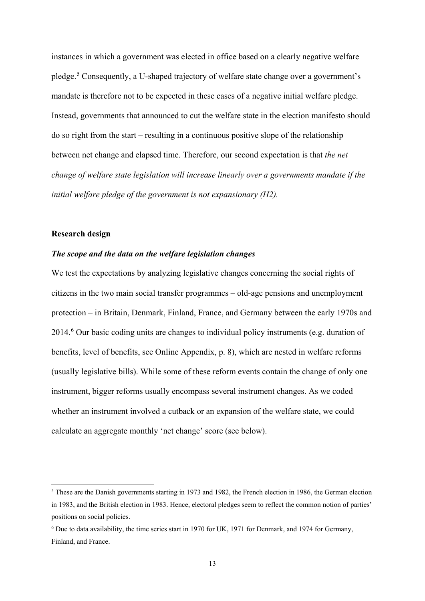instances in which a government was elected in office based on a clearly negative welfare pledge.[5](#page-13-0) Consequently, a U-shaped trajectory of welfare state change over a government's mandate is therefore not to be expected in these cases of a negative initial welfare pledge. Instead, governments that announced to cut the welfare state in the election manifesto should do so right from the start – resulting in a continuous positive slope of the relationship between net change and elapsed time. Therefore, our second expectation is that *the net change of welfare state legislation will increase linearly over a governments mandate if the initial welfare pledge of the government is not expansionary (H2).*

#### **Research design**

<u>.</u>

# *The scope and the data on the welfare legislation changes*

We test the expectations by analyzing legislative changes concerning the social rights of citizens in the two main social transfer programmes – old-age pensions and unemployment protection – in Britain, Denmark, Finland, France, and Germany between the early 1970s and 2014.[6](#page-13-1) Our basic coding units are changes to individual policy instruments (e.g. duration of benefits, level of benefits, see Online Appendix, p. 8), which are nested in welfare reforms (usually legislative bills). While some of these reform events contain the change of only one instrument, bigger reforms usually encompass several instrument changes. As we coded whether an instrument involved a cutback or an expansion of the welfare state, we could calculate an aggregate monthly 'net change' score (see below).

<span id="page-13-0"></span><sup>5</sup> These are the Danish governments starting in 1973 and 1982, the French election in 1986, the German election in 1983, and the British election in 1983. Hence, electoral pledges seem to reflect the common notion of parties' positions on social policies.

<span id="page-13-1"></span><sup>6</sup> Due to data availability, the time series start in 1970 for UK, 1971 for Denmark, and 1974 for Germany, Finland, and France.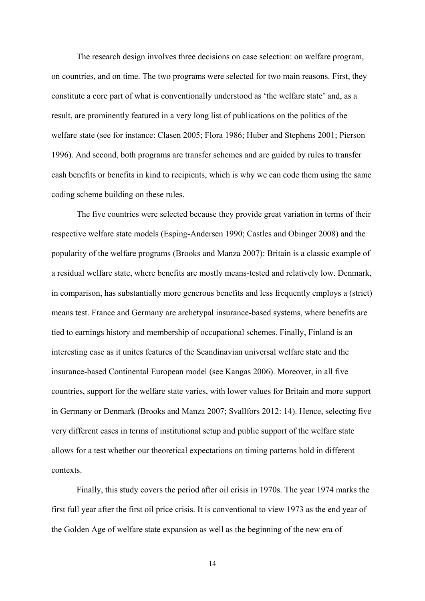The research design involves three decisions on case selection: on welfare program, on countries, and on time. The two programs were selected for two main reasons. First, they constitute a core part of what is conventionally understood as 'the welfare state' and, as a result, are prominently featured in a very long list of publications on the politics of the welfare state (see for instance: Clasen 2005; Flora 1986; Huber and Stephens 2001; Pierson 1996). And second, both programs are transfer schemes and are guided by rules to transfer cash benefits or benefits in kind to recipients, which is why we can code them using the same coding scheme building on these rules.

The five countries were selected because they provide great variation in terms of their respective welfare state models (Esping-Andersen 1990; Castles and Obinger 2008) and the popularity of the welfare programs (Brooks and Manza 2007): Britain is a classic example of a residual welfare state, where benefits are mostly means-tested and relatively low. Denmark, in comparison, has substantially more generous benefits and less frequently employs a (strict) means test. France and Germany are archetypal insurance-based systems, where benefits are tied to earnings history and membership of occupational schemes. Finally, Finland is an interesting case as it unites features of the Scandinavian universal welfare state and the insurance-based Continental European model (see Kangas 2006). Moreover, in all five countries, support for the welfare state varies, with lower values for Britain and more support in Germany or Denmark (Brooks and Manza 2007; Svallfors 2012: 14). Hence, selecting five very different cases in terms of institutional setup and public support of the welfare state allows for a test whether our theoretical expectations on timing patterns hold in different contexts.

Finally, this study covers the period after oil crisis in 1970s. The year 1974 marks the first full year after the first oil price crisis. It is conventional to view 1973 as the end year of the Golden Age of welfare state expansion as well as the beginning of the new era of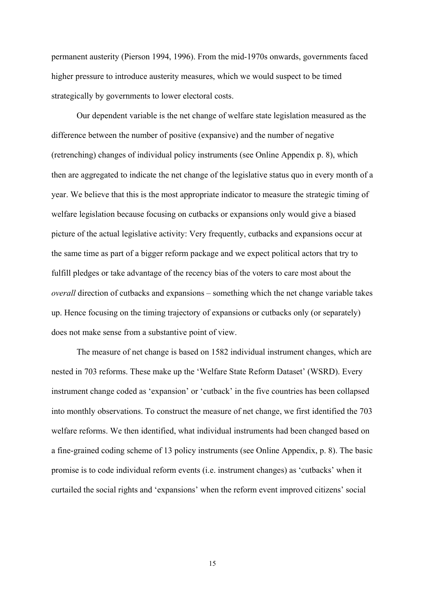permanent austerity (Pierson 1994, 1996). From the mid-1970s onwards, governments faced higher pressure to introduce austerity measures, which we would suspect to be timed strategically by governments to lower electoral costs.

Our dependent variable is the net change of welfare state legislation measured as the difference between the number of positive (expansive) and the number of negative (retrenching) changes of individual policy instruments (see Online Appendix p. 8), which then are aggregated to indicate the net change of the legislative status quo in every month of a year. We believe that this is the most appropriate indicator to measure the strategic timing of welfare legislation because focusing on cutbacks or expansions only would give a biased picture of the actual legislative activity: Very frequently, cutbacks and expansions occur at the same time as part of a bigger reform package and we expect political actors that try to fulfill pledges or take advantage of the recency bias of the voters to care most about the *overall* direction of cutbacks and expansions – something which the net change variable takes up. Hence focusing on the timing trajectory of expansions or cutbacks only (or separately) does not make sense from a substantive point of view.

The measure of net change is based on 1582 individual instrument changes, which are nested in 703 reforms. These make up the 'Welfare State Reform Dataset' (WSRD). Every instrument change coded as 'expansion' or 'cutback' in the five countries has been collapsed into monthly observations. To construct the measure of net change, we first identified the 703 welfare reforms. We then identified, what individual instruments had been changed based on a fine-grained coding scheme of 13 policy instruments (see Online Appendix, p. 8). The basic promise is to code individual reform events (i.e. instrument changes) as 'cutbacks' when it curtailed the social rights and 'expansions' when the reform event improved citizens' social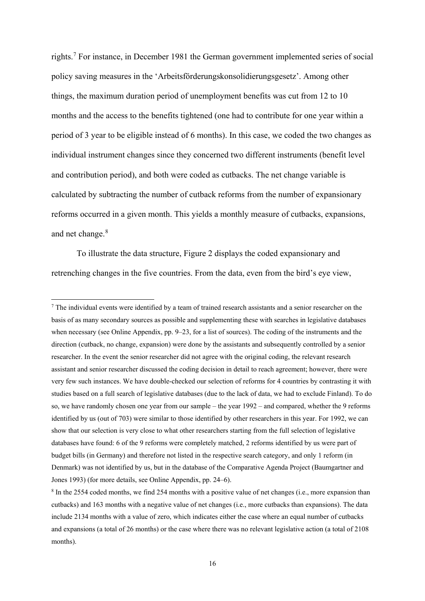rights.[7](#page-16-0) For instance, in December 1981 the German government implemented series of social policy saving measures in the 'Arbeitsförderungskonsolidierungsgesetz'. Among other things, the maximum duration period of unemployment benefits was cut from 12 to 10 months and the access to the benefits tightened (one had to contribute for one year within a period of 3 year to be eligible instead of 6 months). In this case, we coded the two changes as individual instrument changes since they concerned two different instruments (benefit level and contribution period), and both were coded as cutbacks. The net change variable is calculated by subtracting the number of cutback reforms from the number of expansionary reforms occurred in a given month. This yields a monthly measure of cutbacks, expansions, and net change.<sup>[8](#page-16-1)</sup>

To illustrate the data structure, Figure 2 displays the coded expansionary and retrenching changes in the five countries. From the data, even from the bird's eye view,

**.** 

<span id="page-16-0"></span><sup>&</sup>lt;sup>7</sup> The individual events were identified by a team of trained research assistants and a senior researcher on the basis of as many secondary sources as possible and supplementing these with searches in legislative databases when necessary (see Online Appendix, pp. 9–23, for a list of sources). The coding of the instruments and the direction (cutback, no change, expansion) were done by the assistants and subsequently controlled by a senior researcher. In the event the senior researcher did not agree with the original coding, the relevant research assistant and senior researcher discussed the coding decision in detail to reach agreement; however, there were very few such instances. We have double-checked our selection of reforms for 4 countries by contrasting it with studies based on a full search of legislative databases (due to the lack of data, we had to exclude Finland). To do so, we have randomly chosen one year from our sample – the year 1992 – and compared, whether the 9 reforms identified by us (out of 703) were similar to those identified by other researchers in this year. For 1992, we can show that our selection is very close to what other researchers starting from the full selection of legislative databases have found: 6 of the 9 reforms were completely matched, 2 reforms identified by us were part of budget bills (in Germany) and therefore not listed in the respective search category, and only 1 reform (in Denmark) was not identified by us, but in the database of the Comparative Agenda Project (Baumgartner and Jones 1993) (for more details, see Online Appendix, pp. 24–6).

<span id="page-16-1"></span><sup>&</sup>lt;sup>8</sup> In the 2554 coded months, we find 254 months with a positive value of net changes (i.e., more expansion than cutbacks) and 163 months with a negative value of net changes (i.e., more cutbacks than expansions). The data include 2134 months with a value of zero, which indicates either the case where an equal number of cutbacks and expansions (a total of 26 months) or the case where there was no relevant legislative action (a total of 2108 months).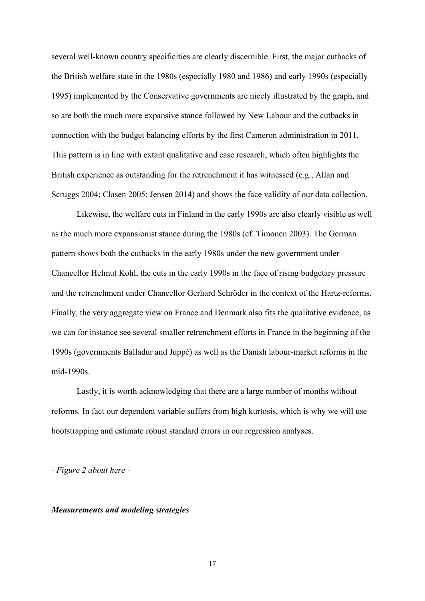several well-known country specificities are clearly discernible. First, the major cutbacks of the British welfare state in the 1980s (especially 1980 and 1986) and early 1990s (especially 1995) implemented by the Conservative governments are nicely illustrated by the graph, and so are both the much more expansive stance followed by New Labour and the cutbacks in connection with the budget balancing efforts by the first Cameron administration in 2011. This pattern is in line with extant qualitative and case research, which often highlights the British experience as outstanding for the retrenchment it has witnessed (e.g., Allan and Scruggs 2004; Clasen 2005; Jensen 2014) and shows the face validity of our data collection.

Likewise, the welfare cuts in Finland in the early 1990s are also clearly visible as well as the much more expansionist stance during the 1980s (cf. Timonen 2003). The German pattern shows both the cutbacks in the early 1980s under the new government under Chancellor Helmut Kohl, the cuts in the early 1990s in the face of rising budgetary pressure and the retrenchment under Chancellor Gerhard Schröder in the context of the Hartz-reforms. Finally, the very aggregate view on France and Denmark also fits the qualitative evidence, as we can for instance see several smaller retrenchment efforts in France in the beginning of the 1990s (governments Balladur and Juppé) as well as the Danish labour-market reforms in the mid-1990s.

Lastly, it is worth acknowledging that there are a large number of months without reforms. In fact our dependent variable suffers from high kurtosis, which is why we will use bootstrapping and estimate robust standard errors in our regression analyses.

*- Figure 2 about here -*

#### *Measurements and modeling strategies*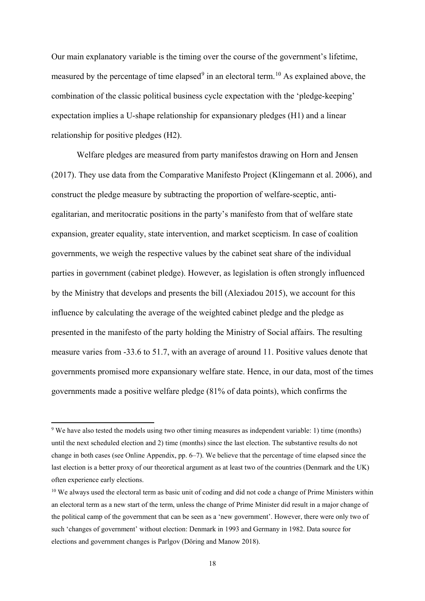Our main explanatory variable is the timing over the course of the government's lifetime, measured by the percentage of time elapsed<sup>[9](#page-18-0)</sup> in an electoral term.<sup>[10](#page-18-1)</sup> As explained above, the combination of the classic political business cycle expectation with the 'pledge-keeping' expectation implies a U-shape relationship for expansionary pledges (H1) and a linear relationship for positive pledges (H2).

Welfare pledges are measured from party manifestos drawing on Horn and Jensen (2017). They use data from the Comparative Manifesto Project (Klingemann et al. 2006), and construct the pledge measure by subtracting the proportion of welfare-sceptic, antiegalitarian, and meritocratic positions in the party's manifesto from that of welfare state expansion, greater equality, state intervention, and market scepticism. In case of coalition governments, we weigh the respective values by the cabinet seat share of the individual parties in government (cabinet pledge). However, as legislation is often strongly influenced by the Ministry that develops and presents the bill (Alexiadou 2015), we account for this influence by calculating the average of the weighted cabinet pledge and the pledge as presented in the manifesto of the party holding the Ministry of Social affairs. The resulting measure varies from -33.6 to 51.7, with an average of around 11. Positive values denote that governments promised more expansionary welfare state. Hence, in our data, most of the times governments made a positive welfare pledge (81% of data points), which confirms the

**.** 

<span id="page-18-0"></span><sup>&</sup>lt;sup>9</sup> We have also tested the models using two other timing measures as independent variable: 1) time (months) until the next scheduled election and 2) time (months) since the last election. The substantive results do not change in both cases (see Online Appendix, pp. 6–7). We believe that the percentage of time elapsed since the last election is a better proxy of our theoretical argument as at least two of the countries (Denmark and the UK) often experience early elections.

<span id="page-18-1"></span><sup>&</sup>lt;sup>10</sup> We always used the electoral term as basic unit of coding and did not code a change of Prime Ministers within an electoral term as a new start of the term, unless the change of Prime Minister did result in a major change of the political camp of the government that can be seen as a 'new government'. However, there were only two of such 'changes of government' without election: Denmark in 1993 and Germany in 1982. Data source for elections and government changes is Parlgov (Döring and Manow 2018).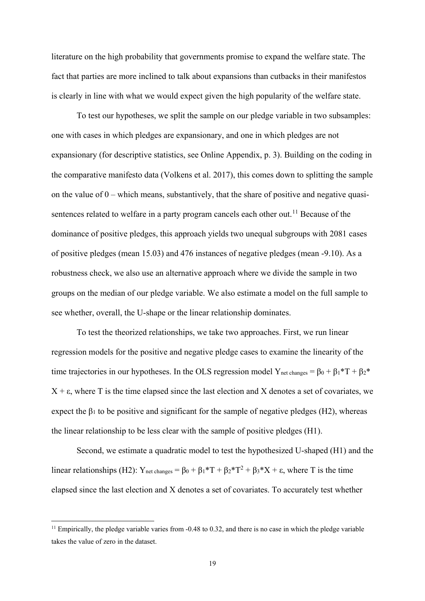literature on the high probability that governments promise to expand the welfare state. The fact that parties are more inclined to talk about expansions than cutbacks in their manifestos is clearly in line with what we would expect given the high popularity of the welfare state.

To test our hypotheses, we split the sample on our pledge variable in two subsamples: one with cases in which pledges are expansionary, and one in which pledges are not expansionary (for descriptive statistics, see Online Appendix, p. 3). Building on the coding in the comparative manifesto data (Volkens et al. 2017), this comes down to splitting the sample on the value of  $0$  – which means, substantively, that the share of positive and negative quasi-sentences related to welfare in a party program cancels each other out.<sup>[11](#page-19-0)</sup> Because of the dominance of positive pledges, this approach yields two unequal subgroups with 2081 cases of positive pledges (mean 15.03) and 476 instances of negative pledges (mean -9.10). As a robustness check, we also use an alternative approach where we divide the sample in two groups on the median of our pledge variable. We also estimate a model on the full sample to see whether, overall, the U-shape or the linear relationship dominates.

To test the theorized relationships, we take two approaches. First, we run linear regression models for the positive and negative pledge cases to examine the linearity of the time trajectories in our hypotheses. In the OLS regression model Y<sub>net changes</sub> =  $\beta_0 + \beta_1 * T + \beta_2 *$  $X + \varepsilon$ , where T is the time elapsed since the last election and X denotes a set of covariates, we expect the  $\beta_1$  to be positive and significant for the sample of negative pledges (H2), whereas the linear relationship to be less clear with the sample of positive pledges (H1).

Second, we estimate a quadratic model to test the hypothesized U-shaped (H1) and the linear relationships (H2): Y<sub>net changes</sub> =  $\beta_0 + \beta_1 * T + \beta_2 * T^2 + \beta_3 * X + \varepsilon$ , where T is the time elapsed since the last election and X denotes a set of covariates. To accurately test whether

<u>.</u>

<span id="page-19-0"></span> $<sup>11</sup>$  Empirically, the pledge variable varies from -0.48 to 0.32, and there is no case in which the pledge variable</sup> takes the value of zero in the dataset.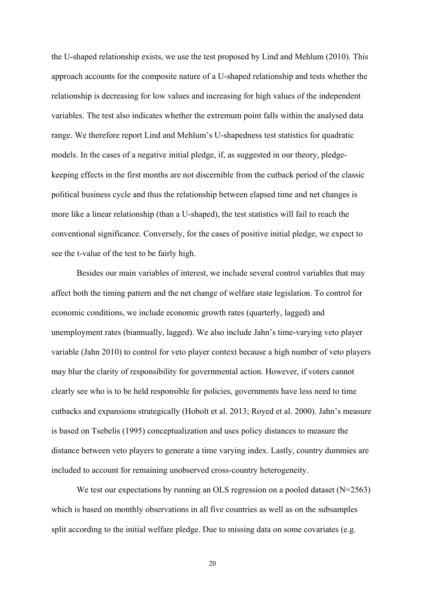the U-shaped relationship exists, we use the test proposed by Lind and Mehlum (2010). This approach accounts for the composite nature of a U-shaped relationship and tests whether the relationship is decreasing for low values and increasing for high values of the independent variables. The test also indicates whether the extremum point falls within the analysed data range. We therefore report Lind and Mehlum's U-shapedness test statistics for quadratic models. In the cases of a negative initial pledge, if, as suggested in our theory, pledgekeeping effects in the first months are not discernible from the cutback period of the classic political business cycle and thus the relationship between elapsed time and net changes is more like a linear relationship (than a U-shaped), the test statistics will fail to reach the conventional significance. Conversely, for the cases of positive initial pledge, we expect to see the t-value of the test to be fairly high.

Besides our main variables of interest, we include several control variables that may affect both the timing pattern and the net change of welfare state legislation. To control for economic conditions, we include economic growth rates (quarterly, lagged) and unemployment rates (biannually, lagged). We also include Jahn's time-varying veto player variable (Jahn 2010) to control for veto player context because a high number of veto players may blur the clarity of responsibility for governmental action. However, if voters cannot clearly see who is to be held responsible for policies, governments have less need to time cutbacks and expansions strategically (Hobolt et al. 2013; Royed et al. 2000). Jahn's measure is based on Tsebelis (1995) conceptualization and uses policy distances to measure the distance between veto players to generate a time varying index. Lastly, country dummies are included to account for remaining unobserved cross-country heterogeneity.

We test our expectations by running an OLS regression on a pooled dataset (N=2563) which is based on monthly observations in all five countries as well as on the subsamples split according to the initial welfare pledge. Due to missing data on some covariates (e.g.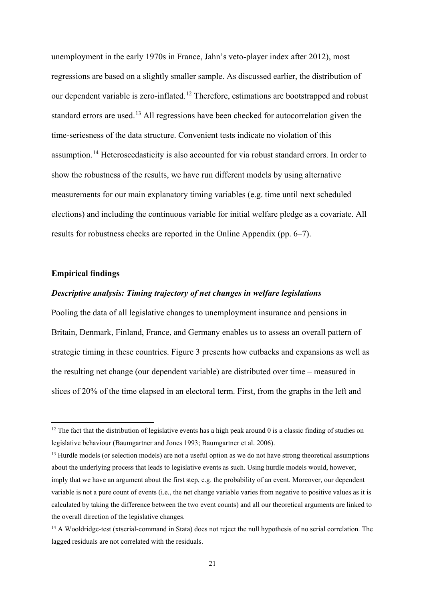unemployment in the early 1970s in France, Jahn's veto-player index after 2012), most regressions are based on a slightly smaller sample. As discussed earlier, the distribution of our dependent variable is zero-inflated.<sup>[12](#page-21-0)</sup> Therefore, estimations are bootstrapped and robust standard errors are used.<sup>[13](#page-21-1)</sup> All regressions have been checked for autocorrelation given the time-seriesness of the data structure. Convenient tests indicate no violation of this assumption.[14](#page-21-2) Heteroscedasticity is also accounted for via robust standard errors. In order to show the robustness of the results, we have run different models by using alternative measurements for our main explanatory timing variables (e.g. time until next scheduled elections) and including the continuous variable for initial welfare pledge as a covariate. All results for robustness checks are reported in the Online Appendix (pp. 6–7).

# **Empirical findings**

**.** 

# *Descriptive analysis: Timing trajectory of net changes in welfare legislations*

Pooling the data of all legislative changes to unemployment insurance and pensions in Britain, Denmark, Finland, France, and Germany enables us to assess an overall pattern of strategic timing in these countries. Figure 3 presents how cutbacks and expansions as well as the resulting net change (our dependent variable) are distributed over time – measured in slices of 20% of the time elapsed in an electoral term. First, from the graphs in the left and

<span id="page-21-0"></span> $12$  The fact that the distribution of legislative events has a high peak around 0 is a classic finding of studies on legislative behaviour (Baumgartner and Jones 1993; Baumgartner et al. 2006).

<span id="page-21-1"></span><sup>&</sup>lt;sup>13</sup> Hurdle models (or selection models) are not a useful option as we do not have strong theoretical assumptions about the underlying process that leads to legislative events as such. Using hurdle models would, however, imply that we have an argument about the first step, e.g. the probability of an event. Moreover, our dependent variable is not a pure count of events (i.e., the net change variable varies from negative to positive values as it is calculated by taking the difference between the two event counts) and all our theoretical arguments are linked to the overall direction of the legislative changes.

<span id="page-21-2"></span><sup>&</sup>lt;sup>14</sup> A Wooldridge-test (xtserial-command in Stata) does not reject the null hypothesis of no serial correlation. The lagged residuals are not correlated with the residuals.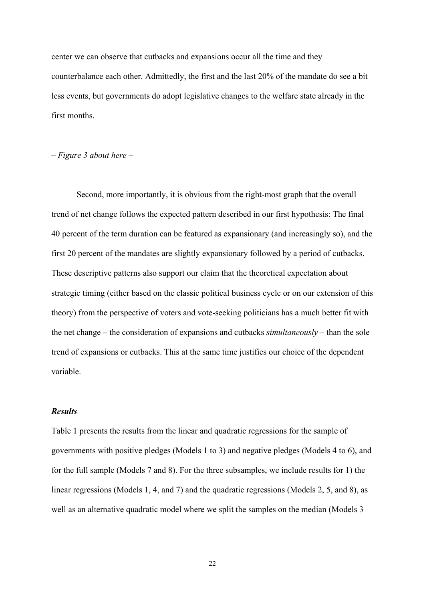center we can observe that cutbacks and expansions occur all the time and they counterbalance each other. Admittedly, the first and the last 20% of the mandate do see a bit less events, but governments do adopt legislative changes to the welfare state already in the first months.

*– Figure 3 about here –*

Second, more importantly, it is obvious from the right-most graph that the overall trend of net change follows the expected pattern described in our first hypothesis: The final 40 percent of the term duration can be featured as expansionary (and increasingly so), and the first 20 percent of the mandates are slightly expansionary followed by a period of cutbacks. These descriptive patterns also support our claim that the theoretical expectation about strategic timing (either based on the classic political business cycle or on our extension of this theory) from the perspective of voters and vote-seeking politicians has a much better fit with the net change – the consideration of expansions and cutbacks *simultaneously* – than the sole trend of expansions or cutbacks. This at the same time justifies our choice of the dependent variable.

# *Results*

Table 1 presents the results from the linear and quadratic regressions for the sample of governments with positive pledges (Models 1 to 3) and negative pledges (Models 4 to 6), and for the full sample (Models 7 and 8). For the three subsamples, we include results for 1) the linear regressions (Models 1, 4, and 7) and the quadratic regressions (Models 2, 5, and 8), as well as an alternative quadratic model where we split the samples on the median (Models 3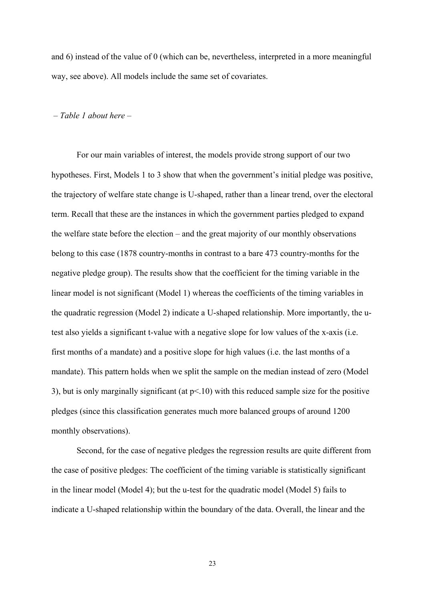and 6) instead of the value of 0 (which can be, nevertheless, interpreted in a more meaningful way, see above). All models include the same set of covariates.

#### *– Table 1 about here –*

For our main variables of interest, the models provide strong support of our two hypotheses. First, Models 1 to 3 show that when the government's initial pledge was positive, the trajectory of welfare state change is U-shaped, rather than a linear trend, over the electoral term. Recall that these are the instances in which the government parties pledged to expand the welfare state before the election – and the great majority of our monthly observations belong to this case (1878 country-months in contrast to a bare 473 country-months for the negative pledge group). The results show that the coefficient for the timing variable in the linear model is not significant (Model 1) whereas the coefficients of the timing variables in the quadratic regression (Model 2) indicate a U-shaped relationship. More importantly, the utest also yields a significant t-value with a negative slope for low values of the x-axis (i.e. first months of a mandate) and a positive slope for high values (i.e. the last months of a mandate). This pattern holds when we split the sample on the median instead of zero (Model 3), but is only marginally significant (at p<.10) with this reduced sample size for the positive pledges (since this classification generates much more balanced groups of around 1200 monthly observations).

Second, for the case of negative pledges the regression results are quite different from the case of positive pledges: The coefficient of the timing variable is statistically significant in the linear model (Model 4); but the u-test for the quadratic model (Model 5) fails to indicate a U-shaped relationship within the boundary of the data. Overall, the linear and the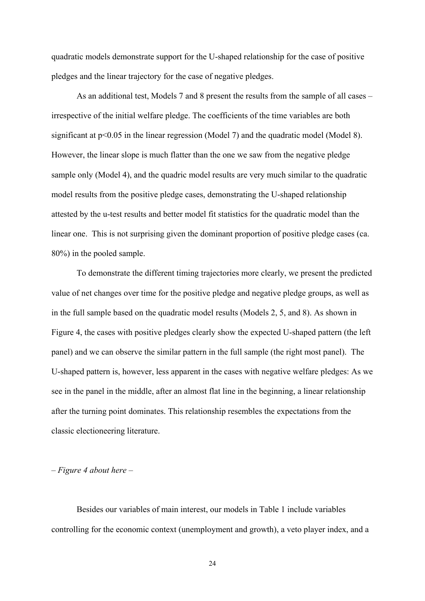quadratic models demonstrate support for the U-shaped relationship for the case of positive pledges and the linear trajectory for the case of negative pledges.

As an additional test, Models 7 and 8 present the results from the sample of all cases – irrespective of the initial welfare pledge. The coefficients of the time variables are both significant at  $p<0.05$  in the linear regression (Model 7) and the quadratic model (Model 8). However, the linear slope is much flatter than the one we saw from the negative pledge sample only (Model 4), and the quadric model results are very much similar to the quadratic model results from the positive pledge cases, demonstrating the U-shaped relationship attested by the u-test results and better model fit statistics for the quadratic model than the linear one. This is not surprising given the dominant proportion of positive pledge cases (ca. 80%) in the pooled sample.

To demonstrate the different timing trajectories more clearly, we present the predicted value of net changes over time for the positive pledge and negative pledge groups, as well as in the full sample based on the quadratic model results (Models 2, 5, and 8). As shown in Figure 4, the cases with positive pledges clearly show the expected U-shaped pattern (the left panel) and we can observe the similar pattern in the full sample (the right most panel). The U-shaped pattern is, however, less apparent in the cases with negative welfare pledges: As we see in the panel in the middle, after an almost flat line in the beginning, a linear relationship after the turning point dominates. This relationship resembles the expectations from the classic electioneering literature.

*– Figure 4 about here –*

Besides our variables of main interest, our models in Table 1 include variables controlling for the economic context (unemployment and growth), a veto player index, and a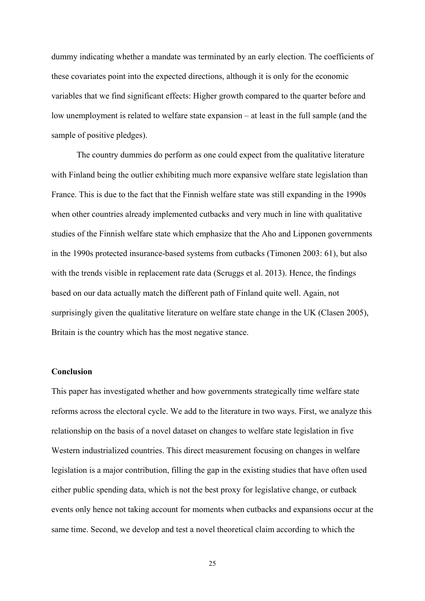dummy indicating whether a mandate was terminated by an early election. The coefficients of these covariates point into the expected directions, although it is only for the economic variables that we find significant effects: Higher growth compared to the quarter before and low unemployment is related to welfare state expansion – at least in the full sample (and the sample of positive pledges).

The country dummies do perform as one could expect from the qualitative literature with Finland being the outlier exhibiting much more expansive welfare state legislation than France. This is due to the fact that the Finnish welfare state was still expanding in the 1990s when other countries already implemented cutbacks and very much in line with qualitative studies of the Finnish welfare state which emphasize that the Aho and Lipponen governments in the 1990s protected insurance-based systems from cutbacks (Timonen 2003: 61), but also with the trends visible in replacement rate data (Scruggs et al. 2013). Hence, the findings based on our data actually match the different path of Finland quite well. Again, not surprisingly given the qualitative literature on welfare state change in the UK (Clasen 2005), Britain is the country which has the most negative stance.

# **Conclusion**

This paper has investigated whether and how governments strategically time welfare state reforms across the electoral cycle. We add to the literature in two ways. First, we analyze this relationship on the basis of a novel dataset on changes to welfare state legislation in five Western industrialized countries. This direct measurement focusing on changes in welfare legislation is a major contribution, filling the gap in the existing studies that have often used either public spending data, which is not the best proxy for legislative change, or cutback events only hence not taking account for moments when cutbacks and expansions occur at the same time. Second, we develop and test a novel theoretical claim according to which the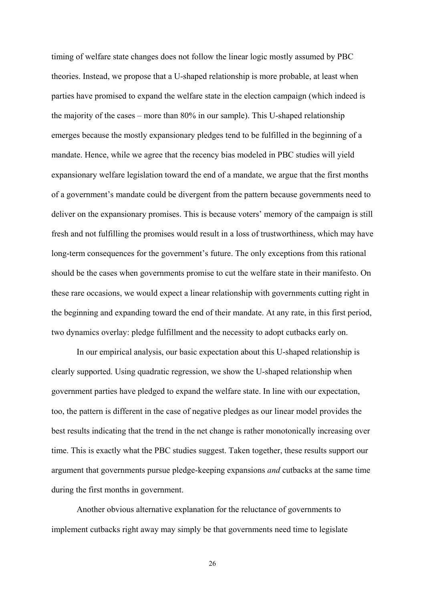timing of welfare state changes does not follow the linear logic mostly assumed by PBC theories. Instead, we propose that a U-shaped relationship is more probable, at least when parties have promised to expand the welfare state in the election campaign (which indeed is the majority of the cases – more than 80% in our sample). This U-shaped relationship emerges because the mostly expansionary pledges tend to be fulfilled in the beginning of a mandate. Hence, while we agree that the recency bias modeled in PBC studies will yield expansionary welfare legislation toward the end of a mandate, we argue that the first months of a government's mandate could be divergent from the pattern because governments need to deliver on the expansionary promises. This is because voters' memory of the campaign is still fresh and not fulfilling the promises would result in a loss of trustworthiness, which may have long-term consequences for the government's future. The only exceptions from this rational should be the cases when governments promise to cut the welfare state in their manifesto. On these rare occasions, we would expect a linear relationship with governments cutting right in the beginning and expanding toward the end of their mandate. At any rate, in this first period, two dynamics overlay: pledge fulfillment and the necessity to adopt cutbacks early on.

In our empirical analysis, our basic expectation about this U-shaped relationship is clearly supported. Using quadratic regression, we show the U-shaped relationship when government parties have pledged to expand the welfare state. In line with our expectation, too, the pattern is different in the case of negative pledges as our linear model provides the best results indicating that the trend in the net change is rather monotonically increasing over time. This is exactly what the PBC studies suggest. Taken together, these results support our argument that governments pursue pledge-keeping expansions *and* cutbacks at the same time during the first months in government.

Another obvious alternative explanation for the reluctance of governments to implement cutbacks right away may simply be that governments need time to legislate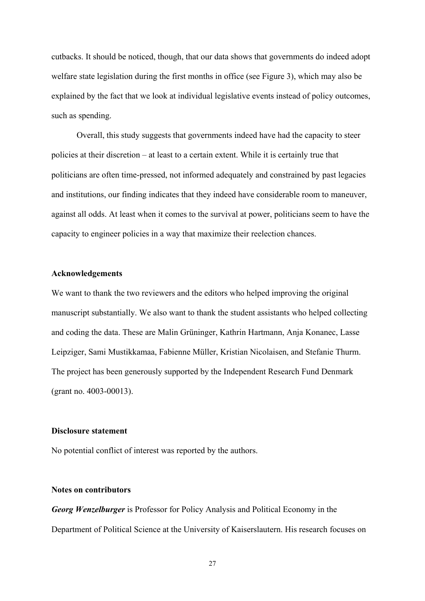cutbacks. It should be noticed, though, that our data shows that governments do indeed adopt welfare state legislation during the first months in office (see Figure 3), which may also be explained by the fact that we look at individual legislative events instead of policy outcomes, such as spending.

Overall, this study suggests that governments indeed have had the capacity to steer policies at their discretion – at least to a certain extent. While it is certainly true that politicians are often time-pressed, not informed adequately and constrained by past legacies and institutions, our finding indicates that they indeed have considerable room to maneuver, against all odds. At least when it comes to the survival at power, politicians seem to have the capacity to engineer policies in a way that maximize their reelection chances.

# **Acknowledgements**

We want to thank the two reviewers and the editors who helped improving the original manuscript substantially. We also want to thank the student assistants who helped collecting and coding the data. These are Malin Grüninger, Kathrin Hartmann, Anja Konanec, Lasse Leipziger, Sami Mustikkamaa, Fabienne Müller, Kristian Nicolaisen, and Stefanie Thurm. The project has been generously supported by the Independent Research Fund Denmark (grant no. 4003-00013).

#### **Disclosure statement**

No potential conflict of interest was reported by the authors.

# **Notes on contributors**

*Georg Wenzelburger* is Professor for Policy Analysis and Political Economy in the Department of Political Science at the University of Kaiserslautern. His research focuses on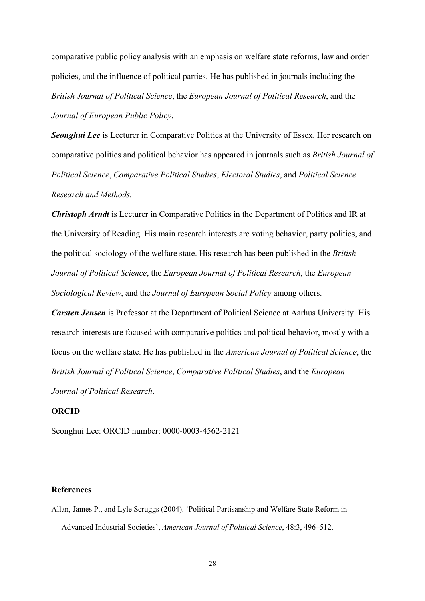comparative public policy analysis with an emphasis on welfare state reforms, law and order policies, and the influence of political parties. He has published in journals including the *British Journal of Political Science*, the *European Journal of Political Research*, and the *Journal of European Public Policy*.

**Seonghui Lee** is Lecturer in Comparative Politics at the University of Essex. Her research on comparative politics and political behavior has appeared in journals such as *British Journal of Political Science*, *Comparative Political Studies*, *Electoral Studies*, and *Political Science Research and Methods.*

*Christoph Arndt* is Lecturer in Comparative Politics in the Department of Politics and IR at the University of Reading. His main research interests are voting behavior, party politics, and the political sociology of the welfare state. His research has been published in the *British Journal of Political Science*, the *European Journal of Political Research*, the *European Sociological Review*, and the *Journal of European Social Policy* among others.

*Carsten Jensen* is Professor at the Department of Political Science at Aarhus University. His research interests are focused with comparative politics and political behavior, mostly with a focus on the welfare state. He has published in the *American Journal of Political Science*, the *British Journal of Political Science*, *Comparative Political Studies*, and the *European Journal of Political Research*.

# **ORCID**

Seonghui Lee: ORCID number: 0000-0003-4562-2121

# **References**

Allan, James P., and Lyle Scruggs (2004). 'Political Partisanship and Welfare State Reform in Advanced Industrial Societies', *American Journal of Political Science*, 48:3, 496–512.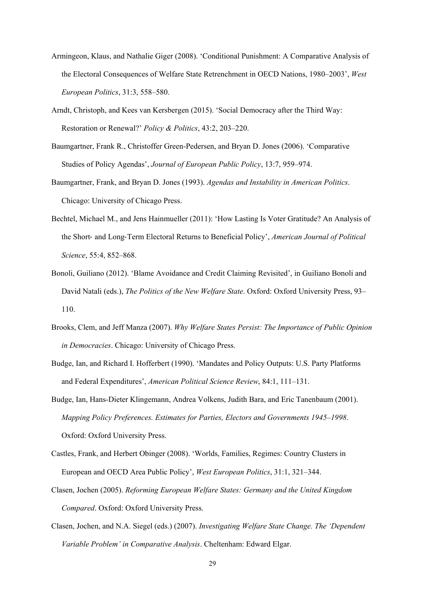- Armingeon, Klaus, and Nathalie Giger (2008). 'Conditional Punishment: A Comparative Analysis of the Electoral Consequences of Welfare State Retrenchment in OECD Nations, 1980–2003', *West European Politics*, 31:3, 558–580.
- Arndt, Christoph, and Kees van Kersbergen (2015). 'Social Democracy after the Third Way: Restoration or Renewal?' *Policy & Politics*, 43:2, 203–220.
- Baumgartner, Frank R., Christoffer Green-Pedersen, and Bryan D. Jones (2006). 'Comparative Studies of Policy Agendas', *Journal of European Public Policy*, 13:7, 959–974.
- Baumgartner, Frank, and Bryan D. Jones (1993). *Agendas and Instability in American Politics*. Chicago: University of Chicago Press.
- Bechtel, Michael M., and Jens Hainmueller (2011): 'How Lasting Is Voter Gratitude? An Analysis of the Short‐ and Long‐Term Electoral Returns to Beneficial Policy', *American Journal of Political Science*, 55:4, 852–868.
- Bonoli, Guiliano (2012). 'Blame Avoidance and Credit Claiming Revisited', in Guiliano Bonoli and David Natali (eds.), *The Politics of the New Welfare State*. Oxford: Oxford University Press, 93– 110.
- Brooks, Clem, and Jeff Manza (2007). *Why Welfare States Persist: The Importance of Public Opinion in Democracies*. Chicago: University of Chicago Press.
- Budge, Ian, and Richard I. Hofferbert (1990). 'Mandates and Policy Outputs: U.S. Party Platforms and Federal Expenditures', *American Political Science Review*, 84:1, 111–131.
- Budge, Ian, Hans-Dieter Klingemann, Andrea Volkens, Judith Bara, and Eric Tanenbaum (2001). *Mapping Policy Preferences. Estimates for Parties, Electors and Governments 1945–1998*. Oxford: Oxford University Press.
- Castles, Frank, and Herbert Obinger (2008). 'Worlds, Families, Regimes: Country Clusters in European and OECD Area Public Policy', *West European Politics*, 31:1, 321–344.
- Clasen, Jochen (2005). *Reforming European Welfare States: Germany and the United Kingdom Compared*. Oxford: Oxford University Press.
- Clasen, Jochen, and N.A. Siegel (eds.) (2007). *Investigating Welfare State Change. The 'Dependent Variable Problem' in Comparative Analysis*. Cheltenham: Edward Elgar.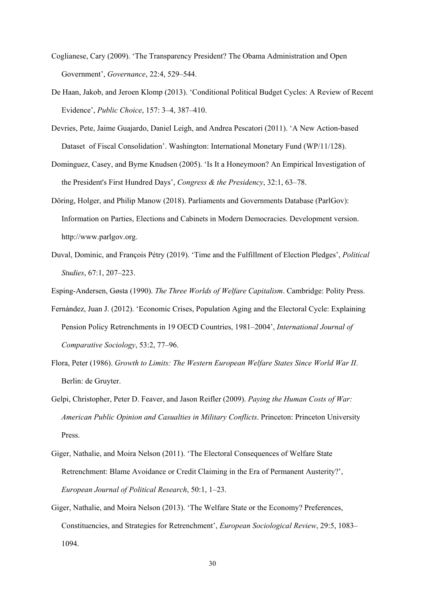- Coglianese, Cary (2009). 'The Transparency President? The Obama Administration and Open Government', *Governance*, 22:4, 529–544.
- De Haan, Jakob, and Jeroen Klomp (2013). 'Conditional Political Budget Cycles: A Review of Recent Evidence', *Public Choice*, 157: 3–4, 387–410.
- Devries, Pete, Jaime Guajardo, Daniel Leigh, and Andrea Pescatori (2011). 'A New Action-based Dataset of Fiscal Consolidation'. Washington: International Monetary Fund (WP/11/128).
- Dominguez, Casey, and Byrne Knudsen (2005). 'Is It a Honeymoon? An Empirical Investigation of the President's First Hundred Days', *Congress & the Presidency*, 32:1, 63–78.
- Döring, Holger, and Philip Manow (2018). Parliaments and Governments Database (ParlGov): Information on Parties, Elections and Cabinets in Modern Democracies. Development version. http://www.parlgov.org.
- Duval, Dominic, and François Pétry (2019). 'Time and the Fulfillment of Election Pledges', *Political Studies*, 67:1, 207–223.

Esping-Andersen, Gøsta (1990). *The Three Worlds of Welfare Capitalism*. Cambridge: Polity Press.

- Fernández, Juan J. (2012). 'Economic Crises, Population Aging and the Electoral Cycle: Explaining Pension Policy Retrenchments in 19 OECD Countries, 1981–2004', *International Journal of Comparative Sociology*, 53:2, 77–96.
- Flora, Peter (1986). *Growth to Limits: The Western European Welfare States Since World War II*. Berlin: de Gruyter.
- Gelpi, Christopher, Peter D. Feaver, and Jason Reifler (2009). *Paying the Human Costs of War: American Public Opinion and Casualties in Military Conflicts*. Princeton: Princeton University Press.
- Giger, Nathalie, and Moira Nelson (2011). 'The Electoral Consequences of Welfare State Retrenchment: Blame Avoidance or Credit Claiming in the Era of Permanent Austerity?', *European Journal of Political Research*, 50:1, 1–23.
- Giger, Nathalie, and Moira Nelson (2013). 'The Welfare State or the Economy? Preferences, Constituencies, and Strategies for Retrenchment', *European Sociological Review*, 29:5, 1083– 1094.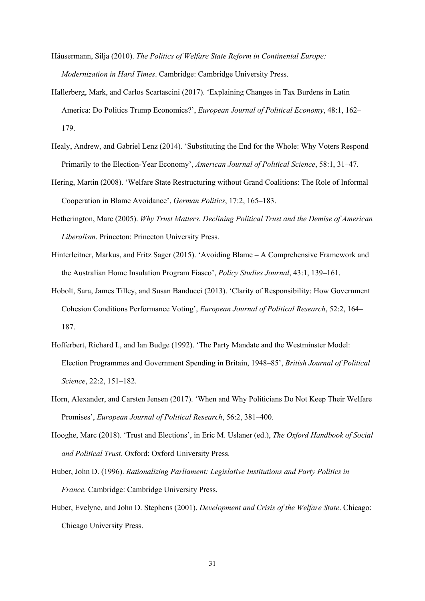- Häusermann, Silja (2010). *The Politics of Welfare State Reform in Continental Europe: Modernization in Hard Times*. Cambridge: Cambridge University Press.
- Hallerberg, Mark, and Carlos Scartascini (2017). 'Explaining Changes in Tax Burdens in Latin America: Do Politics Trump Economics?', *European Journal of Political Economy*, 48:1, 162– 179.
- Healy, Andrew, and Gabriel Lenz (2014). 'Substituting the End for the Whole: Why Voters Respond Primarily to the Election-Year Economy', *American Journal of Political Science*, 58:1, 31–47.
- Hering, Martin (2008). 'Welfare State Restructuring without Grand Coalitions: The Role of Informal Cooperation in Blame Avoidance', *German Politics*, 17:2, 165–183.
- Hetherington, Marc (2005). *Why Trust Matters. Declining Political Trust and the Demise of American Liberalism*. Princeton: Princeton University Press.
- Hinterleitner, Markus, and Fritz Sager (2015). 'Avoiding Blame A Comprehensive Framework and the Australian Home Insulation Program Fiasco', *Policy Studies Journal*, 43:1, 139–161.
- Hobolt, Sara, James Tilley, and Susan Banducci (2013). 'Clarity of Responsibility: How Government Cohesion Conditions Performance Voting', *European Journal of Political Research*, 52:2, 164– 187.
- Hofferbert, Richard I., and Ian Budge (1992). 'The Party Mandate and the Westminster Model: Election Programmes and Government Spending in Britain, 1948–85', *British Journal of Political Science*, 22:2, 151–182.
- Horn, Alexander, and Carsten Jensen (2017). 'When and Why Politicians Do Not Keep Their Welfare Promises', *European Journal of Political Research*, 56:2, 381–400.
- Hooghe, Marc (2018). 'Trust and Elections', in Eric M. Uslaner (ed.), *The Oxford Handbook of Social and Political Trust*. Oxford: Oxford University Press.
- Huber, John D. (1996). *Rationalizing Parliament: Legislative Institutions and Party Politics in France.* Cambridge: Cambridge University Press.
- Huber, Evelyne, and John D. Stephens (2001). *Development and Crisis of the Welfare State*. Chicago: Chicago University Press.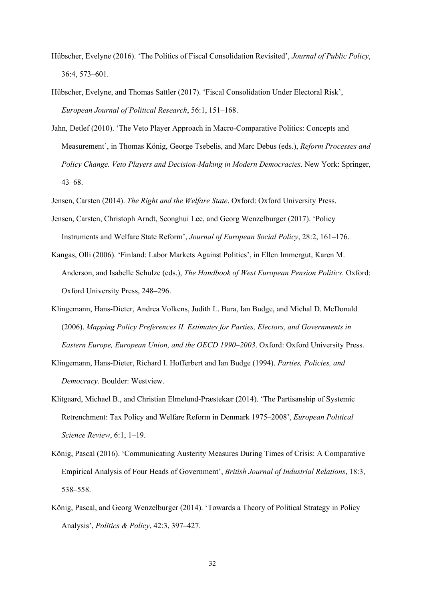- Hübscher, Evelyne (2016). 'The Politics of Fiscal Consolidation Revisited', *Journal of Public Policy*, 36:4, 573–601.
- Hübscher, Evelyne, and Thomas Sattler (2017). 'Fiscal Consolidation Under Electoral Risk', *European Journal of Political Research*, 56:1, 151–168.
- Jahn, Detlef (2010). 'The Veto Player Approach in Macro-Comparative Politics: Concepts and Measurement', in Thomas König, George Tsebelis, and Marc Debus (eds.), *Reform Processes and Policy Change. Veto Players and Decision-Making in Modern Democracies*. New York: Springer, 43–68.
- Jensen, Carsten (2014). *The Right and the Welfare State*. Oxford: Oxford University Press.
- Jensen, Carsten, Christoph Arndt, Seonghui Lee, and Georg Wenzelburger (2017). 'Policy Instruments and Welfare State Reform', *Journal of European Social Policy*, 28:2, 161–176.
- Kangas, Olli (2006). 'Finland: Labor Markets Against Politics', in Ellen Immergut, Karen M. Anderson, and Isabelle Schulze (eds.), *The Handbook of West European Pension Politics*. Oxford: Oxford University Press, 248–296.
- Klingemann, Hans-Dieter, Andrea Volkens, Judith L. Bara, Ian Budge, and Michal D. McDonald (2006). *Mapping Policy Preferences II. Estimates for Parties, Electors, and Governments in Eastern Europe, European Union, and the OECD 1990–2003*. Oxford: Oxford University Press.
- Klingemann, Hans-Dieter, Richard I. Hofferbert and Ian Budge (1994). *Parties, Policies, and Democracy*. Boulder: Westview.
- Klitgaard, Michael B., and Christian Elmelund-Præstekær (2014). 'The Partisanship of Systemic Retrenchment: Tax Policy and Welfare Reform in Denmark 1975–2008', *European Political Science Review*, 6:1, 1–19.
- König, Pascal (2016). 'Communicating Austerity Measures During Times of Crisis: A Comparative Empirical Analysis of Four Heads of Government', *British Journal of Industrial Relations*, 18:3, 538–558.
- König, Pascal, and Georg Wenzelburger (2014). 'Towards a Theory of Political Strategy in Policy Analysis', *Politics & Policy*, 42:3, 397–427.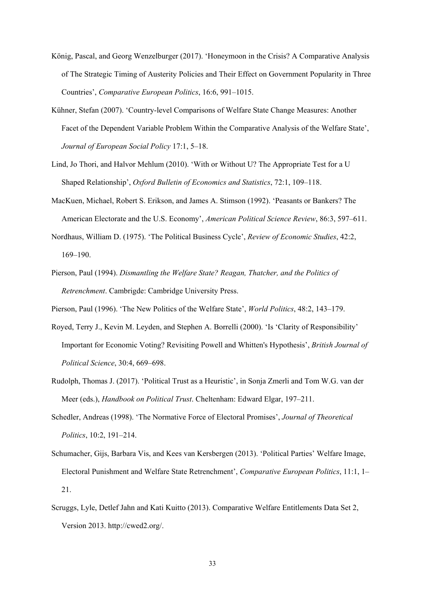- König, Pascal, and Georg Wenzelburger (2017). 'Honeymoon in the Crisis? A Comparative Analysis of The Strategic Timing of Austerity Policies and Their Effect on Government Popularity in Three Countries', *Comparative European Politics*, 16:6, 991–1015.
- Kühner, Stefan (2007). 'Country-level Comparisons of Welfare State Change Measures: Another Facet of the Dependent Variable Problem Within the Comparative Analysis of the Welfare State', *Journal of European Social Policy* 17:1, 5–18.
- Lind, Jo Thori, and Halvor Mehlum (2010). 'With or Without U? The Appropriate Test for a U Shaped Relationship', *Oxford Bulletin of Economics and Statistics*, 72:1, 109–118.
- MacKuen, Michael, Robert S. Erikson, and James A. Stimson (1992). 'Peasants or Bankers? The American Electorate and the U.S. Economy', *American Political Science Review*, 86:3, 597–611.
- Nordhaus, William D. (1975). 'The Political Business Cycle', *Review of Economic Studies*, 42:2, 169–190.
- Pierson, Paul (1994). *Dismantling the Welfare State? Reagan, Thatcher, and the Politics of Retrenchment*. Cambrigde: Cambridge University Press.
- Pierson, Paul (1996). 'The New Politics of the Welfare State', *World Politics*, 48:2, 143–179.
- Royed, Terry J., Kevin M. Leyden, and Stephen A. Borrelli (2000). 'Is 'Clarity of Responsibility' Important for Economic Voting? Revisiting Powell and Whitten's Hypothesis', *British Journal of Political Science*, 30:4, 669–698.
- Rudolph, Thomas J. (2017). 'Political Trust as a Heuristic', in Sonja Zmerli and Tom W.G. van der Meer (eds.), *Handbook on Political Trust*. Cheltenham: Edward Elgar, 197–211.
- Schedler, Andreas (1998). 'The Normative Force of Electoral Promises', *Journal of Theoretical Politics*, 10:2, 191–214.
- Schumacher, Gijs, Barbara Vis, and Kees van Kersbergen (2013). 'Political Parties' Welfare Image, Electoral Punishment and Welfare State Retrenchment', *Comparative European Politics*, 11:1, 1– 21.
- Scruggs, Lyle, Detlef Jahn and Kati Kuitto (2013). Comparative Welfare Entitlements Data Set 2, Version 2013. http://cwed2.org/.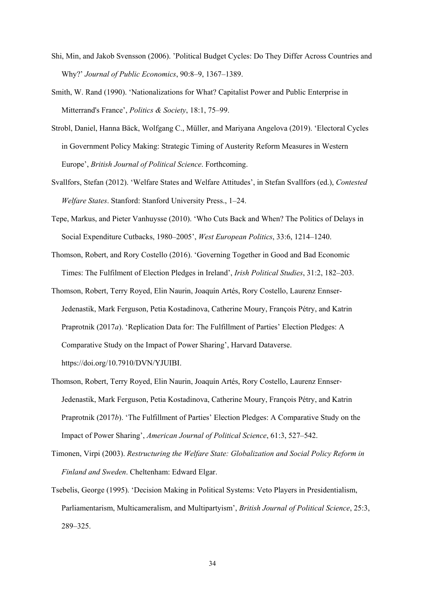- Shi, Min, and Jakob Svensson (2006). 'Political Budget Cycles: Do They Differ Across Countries and Why?' *Journal of Public Economics*, 90:8–9, 1367–1389.
- Smith, W. Rand (1990). 'Nationalizations for What? Capitalist Power and Public Enterprise in Mitterrand's France', *Politics & Society*, 18:1, 75–99.
- Strobl, Daniel, Hanna Bäck, Wolfgang C., Müller, and Mariyana Angelova (2019). 'Electoral Cycles in Government Policy Making: Strategic Timing of Austerity Reform Measures in Western Europe', *British Journal of Political Science*. Forthcoming.
- Svallfors, Stefan (2012). 'Welfare States and Welfare Attitudes', in Stefan Svallfors (ed.), *Contested Welfare States*. Stanford: Stanford University Press., 1–24.
- Tepe, Markus, and Pieter Vanhuysse (2010). 'Who Cuts Back and When? The Politics of Delays in Social Expenditure Cutbacks, 1980–2005', *West European Politics*, 33:6, 1214–1240.
- Thomson, Robert, and Rory Costello (2016). 'Governing Together in Good and Bad Economic Times: The Fulfilment of Election Pledges in Ireland', *Irish Political Studies*, 31:2, 182–203.
- Thomson, Robert, Terry Royed, Elin Naurin, Joaquín Artés, Rory Costello, Laurenz Ennser-Jedenastik, Mark Ferguson, Petia Kostadinova, Catherine Moury, François Pétry, and Katrin Praprotnik (2017*a*). 'Replication Data for: The Fulfillment of Parties' Election Pledges: A Comparative Study on the Impact of Power Sharing', Harvard Dataverse. https://doi.org/10.7910/DVN/YJUIBI.
- Thomson, Robert, Terry Royed, Elin Naurin, Joaquín Artés, Rory Costello, Laurenz Ennser‐ Jedenastik, Mark Ferguson, Petia Kostadinova, Catherine Moury, François Pétry, and Katrin Praprotnik (2017*b*). 'The Fulfillment of Parties' Election Pledges: A Comparative Study on the Impact of Power Sharing', *American Journal of Political Science*, 61:3, 527–542.
- Timonen, Virpi (2003). *Restructuring the Welfare State: Globalization and Social Policy Reform in Finland and Sweden*. Cheltenham: Edward Elgar.
- Tsebelis, George (1995). 'Decision Making in Political Systems: Veto Players in Presidentialism, Parliamentarism, Multicameralism, and Multipartyism', *British Journal of Political Science*, 25:3, 289–325.